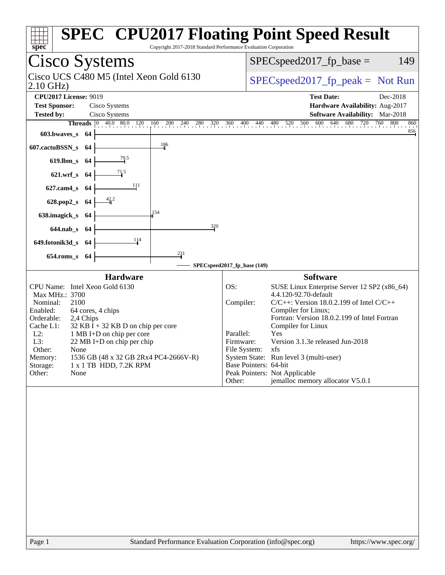| Spec<br>Copyright 2017-2018 Standard Performance Evaluation Corporation                                                                                                                                                                                                                                                                                                                                            | <b>SPEC<sup>®</sup></b> CPU2017 Floating Point Speed Result                                                                                                                                                                                                                                                                                                                                                                                                                                           |  |  |  |  |
|--------------------------------------------------------------------------------------------------------------------------------------------------------------------------------------------------------------------------------------------------------------------------------------------------------------------------------------------------------------------------------------------------------------------|-------------------------------------------------------------------------------------------------------------------------------------------------------------------------------------------------------------------------------------------------------------------------------------------------------------------------------------------------------------------------------------------------------------------------------------------------------------------------------------------------------|--|--|--|--|
| Cisco Systems                                                                                                                                                                                                                                                                                                                                                                                                      | $SPEC speed2017fp base =$<br>149                                                                                                                                                                                                                                                                                                                                                                                                                                                                      |  |  |  |  |
| Cisco UCS C480 M5 (Intel Xeon Gold 6130<br>$2.10$ GHz)                                                                                                                                                                                                                                                                                                                                                             | $SPEC speed2017_fp\_peak = Not Run$                                                                                                                                                                                                                                                                                                                                                                                                                                                                   |  |  |  |  |
| <b>CPU2017 License: 9019</b><br><b>Test Sponsor:</b><br>Cisco Systems<br><b>Tested by:</b><br>Cisco Systems                                                                                                                                                                                                                                                                                                        | <b>Test Date:</b><br>Dec-2018<br>Hardware Availability: Aug-2017<br>Software Availability: Mar-2018                                                                                                                                                                                                                                                                                                                                                                                                   |  |  |  |  |
| 603.bwaves_s 64<br>186<br>607.cactuBSSN_s<br>-64                                                                                                                                                                                                                                                                                                                                                                   | <b>Threads</b> 0 40.0 80.0 120 160 200 240 280 320 360 400 440 480 520 560 600 640 680 720 760 800<br>860<br>856                                                                                                                                                                                                                                                                                                                                                                                      |  |  |  |  |
| $\frac{79.5}{4}$<br>619.lbm_s 64<br>$\frac{71.5}{4}$<br>$621.wrf$ <sub>S</sub><br>- 64                                                                                                                                                                                                                                                                                                                             |                                                                                                                                                                                                                                                                                                                                                                                                                                                                                                       |  |  |  |  |
| 111<br>$627$ .cam $4$ <sub>S</sub><br>-64<br>42.2<br>628.pop2_s<br>-64                                                                                                                                                                                                                                                                                                                                             |                                                                                                                                                                                                                                                                                                                                                                                                                                                                                                       |  |  |  |  |
| 154<br>638.imagick_s<br>-64<br>320<br>$644$ .nab_s<br>- 64<br>114                                                                                                                                                                                                                                                                                                                                                  |                                                                                                                                                                                                                                                                                                                                                                                                                                                                                                       |  |  |  |  |
| 649.fotonik3d_s 64<br>231<br>$654$ .roms_s<br>-64                                                                                                                                                                                                                                                                                                                                                                  | SPECspeed2017_fp_base (149)                                                                                                                                                                                                                                                                                                                                                                                                                                                                           |  |  |  |  |
| <b>Hardware</b><br>CPU Name: Intel Xeon Gold 6130<br>Max MHz.: 3700<br>Nominal:<br>2100<br>Enabled:<br>64 cores, 4 chips<br>Orderable:<br>2,4 Chips<br>Cache L1:<br>$32$ KB I + 32 KB D on chip per core<br>$L2$ :<br>1 MB I+D on chip per core<br>L3:<br>22 MB I+D on chip per chip<br>Other:<br>None<br>1536 GB (48 x 32 GB 2Rx4 PC4-2666V-R)<br>Memory:<br>1 x 1 TB HDD, 7.2K RPM<br>Storage:<br>Other:<br>None | <b>Software</b><br>OS:<br>SUSE Linux Enterprise Server 12 SP2 (x86_64)<br>4.4.120-92.70-default<br>Compiler:<br>$C/C++$ : Version 18.0.2.199 of Intel $C/C++$<br>Compiler for Linux;<br>Fortran: Version 18.0.2.199 of Intel Fortran<br>Compiler for Linux<br>Parallel:<br>Yes<br>Version 3.1.3e released Jun-2018<br>Firmware:<br>File System: xfs<br>System State: Run level 3 (multi-user)<br>Base Pointers: 64-bit<br>Peak Pointers: Not Applicable<br>jemalloc memory allocator V5.0.1<br>Other: |  |  |  |  |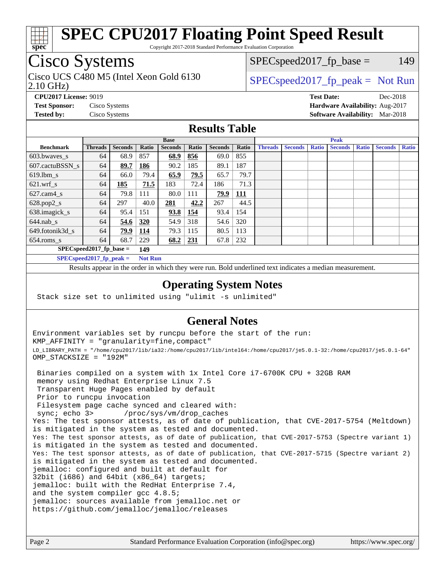

Copyright 2017-2018 Standard Performance Evaluation Corporation

# Cisco Systems

2.10 GHz) Cisco UCS C480 M5 (Intel Xeon Gold 6130  $SPEC speed2017<sub>fp</sub> peak = Not Run$ 

 $SPEC speed2017_fp\_base = 149$ 

**[CPU2017 License:](http://www.spec.org/auto/cpu2017/Docs/result-fields.html#CPU2017License)** 9019 **[Test Date:](http://www.spec.org/auto/cpu2017/Docs/result-fields.html#TestDate)** Dec-2018 **[Test Sponsor:](http://www.spec.org/auto/cpu2017/Docs/result-fields.html#TestSponsor)** Cisco Systems **[Hardware Availability:](http://www.spec.org/auto/cpu2017/Docs/result-fields.html#HardwareAvailability)** Aug-2017 **[Tested by:](http://www.spec.org/auto/cpu2017/Docs/result-fields.html#Testedby)** Cisco Systems **[Software Availability:](http://www.spec.org/auto/cpu2017/Docs/result-fields.html#SoftwareAvailability)** Mar-2018

#### **[Results Table](http://www.spec.org/auto/cpu2017/Docs/result-fields.html#ResultsTable)**

|                                   | <b>Base</b>    |                |                |                |            | <b>Peak</b>    |            |                |                |              |                |              |                |              |
|-----------------------------------|----------------|----------------|----------------|----------------|------------|----------------|------------|----------------|----------------|--------------|----------------|--------------|----------------|--------------|
| <b>Benchmark</b>                  | <b>Threads</b> | <b>Seconds</b> | Ratio          | <b>Seconds</b> | Ratio      | <b>Seconds</b> | Ratio      | <b>Threads</b> | <b>Seconds</b> | <b>Ratio</b> | <b>Seconds</b> | <b>Ratio</b> | <b>Seconds</b> | <b>Ratio</b> |
| $603.bwaves$ s                    | 64             | 68.9           | 857            | 68.9           | 856        | 69.0           | 855        |                |                |              |                |              |                |              |
| 607.cactuBSSN s                   | 64             | 89.7           | 186            | 90.2           | 185        | 89.1           | 187        |                |                |              |                |              |                |              |
| $619.1$ bm s                      | 64             | 66.0           | 79.4           | 65.9           | 79.5       | 65.7           | 79.7       |                |                |              |                |              |                |              |
| $621.wrf$ s                       | 64             | 185            | 71.5           | 183            | 72.4       | 186            | 71.3       |                |                |              |                |              |                |              |
| $627.cam4_s$                      | 64             | 79.8           | 111            | 80.0           | 111        | 79.9           | <b>111</b> |                |                |              |                |              |                |              |
| $628.pop2_s$                      | 64             | 297            | 40.0           | 281            | 42.2       | 267            | 44.5       |                |                |              |                |              |                |              |
| 638.imagick_s                     | 64             | 95.4           | 151            | 93.8           | 154        | 93.4           | 154        |                |                |              |                |              |                |              |
| $644$ .nab s                      | 64             | 54.6           | <u>320</u>     | 54.9           | 318        | 54.6           | 320        |                |                |              |                |              |                |              |
| 649.fotonik3d s                   | 64             | 79.9           | <u>114</u>     | 79.3           | 115        | 80.5           | 113        |                |                |              |                |              |                |              |
| $654$ .roms s                     | 64             | 68.7           | 229            | 68.2           | <b>231</b> | 67.8           | 232        |                |                |              |                |              |                |              |
| $SPEC speed2017$ fp base =<br>149 |                |                |                |                |            |                |            |                |                |              |                |              |                |              |
| $SPECspeed2017_fp\_peak =$        |                |                | <b>Not Run</b> |                |            |                |            |                |                |              |                |              |                |              |

Results appear in the [order in which they were run.](http://www.spec.org/auto/cpu2017/Docs/result-fields.html#RunOrder) Bold underlined text [indicates a median measurement](http://www.spec.org/auto/cpu2017/Docs/result-fields.html#Median).

#### **[Operating System Notes](http://www.spec.org/auto/cpu2017/Docs/result-fields.html#OperatingSystemNotes)**

Stack size set to unlimited using "ulimit -s unlimited"

### **[General Notes](http://www.spec.org/auto/cpu2017/Docs/result-fields.html#GeneralNotes)**

Environment variables set by runcpu before the start of the run: KMP\_AFFINITY = "granularity=fine,compact" LD\_LIBRARY\_PATH = "/home/cpu2017/lib/ia32:/home/cpu2017/lib/intel64:/home/cpu2017/je5.0.1-32:/home/cpu2017/je5.0.1-64" OMP\_STACKSIZE = "192M"

 Binaries compiled on a system with 1x Intel Core i7-6700K CPU + 32GB RAM memory using Redhat Enterprise Linux 7.5 Transparent Huge Pages enabled by default Prior to runcpu invocation Filesystem page cache synced and cleared with: sync; echo 3> /proc/sys/vm/drop\_caches Yes: The test sponsor attests, as of date of publication, that CVE-2017-5754 (Meltdown) is mitigated in the system as tested and documented. Yes: The test sponsor attests, as of date of publication, that CVE-2017-5753 (Spectre variant 1) is mitigated in the system as tested and documented. Yes: The test sponsor attests, as of date of publication, that CVE-2017-5715 (Spectre variant 2) is mitigated in the system as tested and documented. jemalloc: configured and built at default for 32bit (i686) and 64bit (x86\_64) targets; jemalloc: built with the RedHat Enterprise 7.4, and the system compiler gcc 4.8.5; jemalloc: sources available from jemalloc.net or <https://github.com/jemalloc/jemalloc/releases>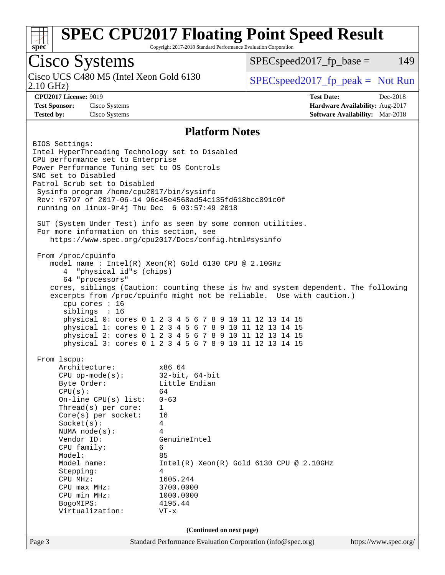

Copyright 2017-2018 Standard Performance Evaluation Corporation

### Cisco Systems

Cisco UCS C480 M5 (Intel Xeon Gold 6130<br>2.10 GHz)

 $SPEC speed2017_fp\_base = 149$ 

 $SPEC speed2017_fp\_peak = Not Run$ 

**[CPU2017 License:](http://www.spec.org/auto/cpu2017/Docs/result-fields.html#CPU2017License)** 9019 **[Test Date:](http://www.spec.org/auto/cpu2017/Docs/result-fields.html#TestDate)** Dec-2018 **[Test Sponsor:](http://www.spec.org/auto/cpu2017/Docs/result-fields.html#TestSponsor)** Cisco Systems **[Hardware Availability:](http://www.spec.org/auto/cpu2017/Docs/result-fields.html#HardwareAvailability)** Aug-2017 **[Tested by:](http://www.spec.org/auto/cpu2017/Docs/result-fields.html#Testedby)** Cisco Systems **[Software Availability:](http://www.spec.org/auto/cpu2017/Docs/result-fields.html#SoftwareAvailability)** Mar-2018

#### **[Platform Notes](http://www.spec.org/auto/cpu2017/Docs/result-fields.html#PlatformNotes)**

Page 3 Standard Performance Evaluation Corporation [\(info@spec.org\)](mailto:info@spec.org) <https://www.spec.org/> BIOS Settings: Intel HyperThreading Technology set to Disabled CPU performance set to Enterprise Power Performance Tuning set to OS Controls SNC set to Disabled Patrol Scrub set to Disabled Sysinfo program /home/cpu2017/bin/sysinfo Rev: r5797 of 2017-06-14 96c45e4568ad54c135fd618bcc091c0f running on linux-9r4j Thu Dec 6 03:57:49 2018 SUT (System Under Test) info as seen by some common utilities. For more information on this section, see <https://www.spec.org/cpu2017/Docs/config.html#sysinfo> From /proc/cpuinfo model name : Intel(R) Xeon(R) Gold 6130 CPU @ 2.10GHz 4 "physical id"s (chips) 64 "processors" cores, siblings (Caution: counting these is hw and system dependent. The following excerpts from /proc/cpuinfo might not be reliable. Use with caution.) cpu cores : 16 siblings : 16 physical 0: cores 0 1 2 3 4 5 6 7 8 9 10 11 12 13 14 15 physical 1: cores 0 1 2 3 4 5 6 7 8 9 10 11 12 13 14 15 physical 2: cores 0 1 2 3 4 5 6 7 8 9 10 11 12 13 14 15 physical 3: cores 0 1 2 3 4 5 6 7 8 9 10 11 12 13 14 15 From lscpu: Architecture: x86\_64 CPU op-mode(s): 32-bit, 64-bit Byte Order: Little Endian  $CPU(s):$  64 On-line CPU(s) list: 0-63 Thread(s) per core: 1 Core(s) per socket: 16 Socket(s): 4 NUMA node(s): 4 Vendor ID: GenuineIntel CPU family: 6 Model: 85 Model name: Intel(R) Xeon(R) Gold 6130 CPU @ 2.10GHz Stepping: 4 CPU MHz: 1605.244<br>
CPU max MHz: 3700.0000  $CPU$  max  $MHz:$  CPU min MHz: 1000.0000 BogoMIPS: 4195.44 Virtualization: VT-x **(Continued on next page)**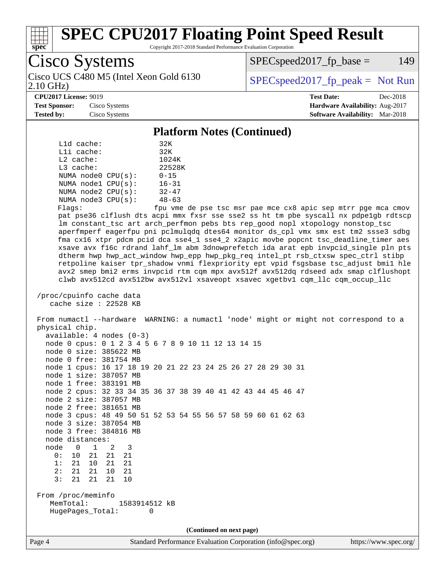

Copyright 2017-2018 Standard Performance Evaluation Corporation

Cisco Systems 2.10 GHz)

 $SPEC speed2017_fp\_base = 149$ 

Cisco UCS C480 M5 (Intel Xeon Gold 6130  $SPEC speed2017<sub>fp</sub> peak = Not Run$ 

#### **[CPU2017 License:](http://www.spec.org/auto/cpu2017/Docs/result-fields.html#CPU2017License)** 9019 **[Test Date:](http://www.spec.org/auto/cpu2017/Docs/result-fields.html#TestDate)** Dec-2018

**[Test Sponsor:](http://www.spec.org/auto/cpu2017/Docs/result-fields.html#TestSponsor)** Cisco Systems **[Hardware Availability:](http://www.spec.org/auto/cpu2017/Docs/result-fields.html#HardwareAvailability)** Aug-2017 **[Tested by:](http://www.spec.org/auto/cpu2017/Docs/result-fields.html#Testedby)** Cisco Systems **[Software Availability:](http://www.spec.org/auto/cpu2017/Docs/result-fields.html#SoftwareAvailability)** Mar-2018

#### **[Platform Notes \(Continued\)](http://www.spec.org/auto/cpu2017/Docs/result-fields.html#PlatformNotes)**

| $L1d$ cache:            | 32K       |  |  |
|-------------------------|-----------|--|--|
| Lli cache:              | 32K       |  |  |
| $L2$ cache:             | 1024K     |  |  |
| L3 cache:               | 22528K    |  |  |
| NUMA $node0$ $CPU(s)$ : | $0 - 15$  |  |  |
| NUMA nodel CPU(s):      | $16 - 31$ |  |  |
| NUMA $node2$ $CPU(s)$ : | $32 - 47$ |  |  |
| NUMA node3 CPU(s):      | $48 - 63$ |  |  |
|                         |           |  |  |

Flags: fpu vme de pse tsc msr pae mce cx8 apic sep mtrr pge mca cmov pat pse36 clflush dts acpi mmx fxsr sse sse2 ss ht tm pbe syscall nx pdpe1gb rdtscp lm constant\_tsc art arch\_perfmon pebs bts rep\_good nopl xtopology nonstop\_tsc aperfmperf eagerfpu pni pclmulqdq dtes64 monitor ds\_cpl vmx smx est tm2 ssse3 sdbg fma cx16 xtpr pdcm pcid dca sse4\_1 sse4\_2 x2apic movbe popcnt tsc\_deadline\_timer aes xsave avx f16c rdrand lahf\_lm abm 3dnowprefetch ida arat epb invpcid\_single pln pts dtherm hwp hwp\_act\_window hwp\_epp hwp\_pkg\_req intel\_pt rsb\_ctxsw spec\_ctrl stibp retpoline kaiser tpr\_shadow vnmi flexpriority ept vpid fsgsbase tsc\_adjust bmi1 hle avx2 smep bmi2 erms invpcid rtm cqm mpx avx512f avx512dq rdseed adx smap clflushopt clwb avx512cd avx512bw avx512vl xsaveopt xsavec xgetbv1 cqm\_llc cqm\_occup\_llc

```
 /proc/cpuinfo cache data
    cache size : 22528 KB
```
 From numactl --hardware WARNING: a numactl 'node' might or might not correspond to a physical chip. available: 4 nodes (0-3) node 0 cpus: 0 1 2 3 4 5 6 7 8 9 10 11 12 13 14 15 node 0 size: 385622 MB node 0 free: 381754 MB node 1 cpus: 16 17 18 19 20 21 22 23 24 25 26 27 28 29 30 31 node 1 size: 387057 MB node 1 free: 383191 MB node 2 cpus: 32 33 34 35 36 37 38 39 40 41 42 43 44 45 46 47 node 2 size: 387057 MB node 2 free: 381651 MB node 3 cpus: 48 49 50 51 52 53 54 55 56 57 58 59 60 61 62 63 node 3 size: 387054 MB node 3 free: 384816 MB node distances: node 0 1 2 3<br>0: 10 21 21 21 0: 10 21 21 21

#### 1: 21 10 21 21 2: 21 21 10 21 3: 21 21 21 10

 From /proc/meminfo MemTotal: 1583914512 kB HugePages\_Total: 0

**(Continued on next page)**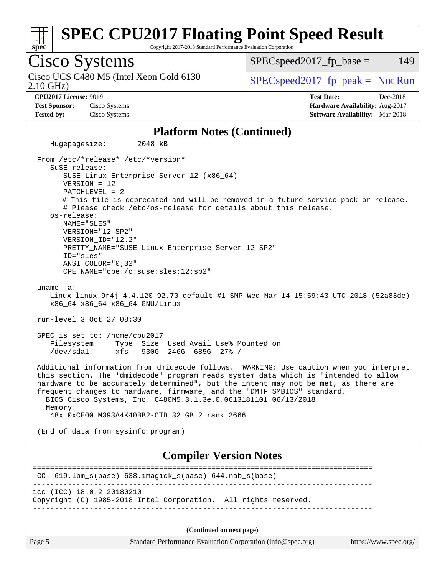

Copyright 2017-2018 Standard Performance Evaluation Corporation

Cisco Systems 2.10 GHz) Cisco UCS C480 M5 (Intel Xeon Gold 6130  $SPECspeed2017_fp\_peak = Not Run$  $SPEC speed2017<sub>fp</sub> base = 149$ **[CPU2017 License:](http://www.spec.org/auto/cpu2017/Docs/result-fields.html#CPU2017License)** 9019 **[Test Date:](http://www.spec.org/auto/cpu2017/Docs/result-fields.html#TestDate)** Dec-2018 **[Test Sponsor:](http://www.spec.org/auto/cpu2017/Docs/result-fields.html#TestSponsor)** Cisco Systems **[Hardware Availability:](http://www.spec.org/auto/cpu2017/Docs/result-fields.html#HardwareAvailability)** Aug-2017 **[Tested by:](http://www.spec.org/auto/cpu2017/Docs/result-fields.html#Testedby)** Cisco Systems **[Software Availability:](http://www.spec.org/auto/cpu2017/Docs/result-fields.html#SoftwareAvailability)** Mar-2018 **[Platform Notes \(Continued\)](http://www.spec.org/auto/cpu2017/Docs/result-fields.html#PlatformNotes)** Hugepagesize: 2048 kB From /etc/\*release\* /etc/\*version\* SuSE-release: SUSE Linux Enterprise Server 12 (x86\_64) VERSION = 12 PATCHLEVEL = 2 # This file is deprecated and will be removed in a future service pack or release. # Please check /etc/os-release for details about this release. os-release: NAME="SLES" VERSION="12-SP2" VERSION\_ID="12.2" PRETTY\_NAME="SUSE Linux Enterprise Server 12 SP2" ID="sles" ANSI\_COLOR="0;32" CPE\_NAME="cpe:/o:suse:sles:12:sp2" uname -a: Linux linux-9r4j 4.4.120-92.70-default #1 SMP Wed Mar 14 15:59:43 UTC 2018 (52a83de) x86\_64 x86\_64 x86\_64 GNU/Linux run-level 3 Oct 27 08:30 SPEC is set to: /home/cpu2017 Filesystem Type Size Used Avail Use% Mounted on /dev/sda1 xfs 930G 246G 685G 27% / Additional information from dmidecode follows. WARNING: Use caution when you interpret this section. The 'dmidecode' program reads system data which is "intended to allow hardware to be accurately determined", but the intent may not be met, as there are frequent changes to hardware, firmware, and the "DMTF SMBIOS" standard. BIOS Cisco Systems, Inc. C480M5.3.1.3e.0.0613181101 06/13/2018 Memory: 48x 0xCE00 M393A4K40BB2-CTD 32 GB 2 rank 2666 (End of data from sysinfo program) **[Compiler Version Notes](http://www.spec.org/auto/cpu2017/Docs/result-fields.html#CompilerVersionNotes)** ============================================================================== CC 619.lbm\_s(base) 638.imagick\_s(base) 644.nab\_s(base) ----------------------------------------------------------------------------- icc (ICC) 18.0.2 20180210 Copyright (C) 1985-2018 Intel Corporation. All rights reserved. ------------------------------------------------------------------------------

**(Continued on next page)**

Page 5 Standard Performance Evaluation Corporation [\(info@spec.org\)](mailto:info@spec.org) <https://www.spec.org/>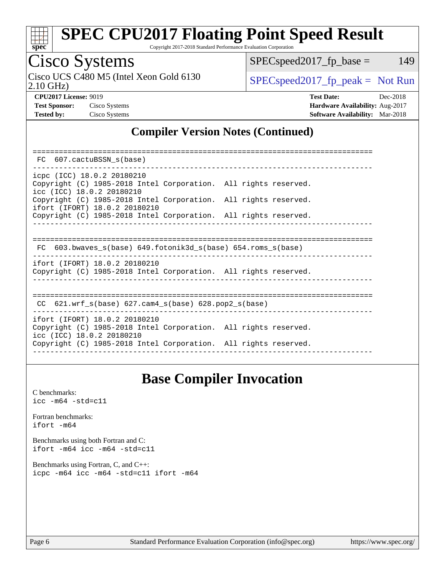

Copyright 2017-2018 Standard Performance Evaluation Corporation

### Cisco Systems

2.10 GHz) Cisco UCS C480 M5 (Intel Xeon Gold 6130  $SPEC speed2017<sub>fp</sub> peak = Not Run$ 

 $SPEC speed2017_fp\_base = 149$ 

**[CPU2017 License:](http://www.spec.org/auto/cpu2017/Docs/result-fields.html#CPU2017License)** 9019 **[Test Date:](http://www.spec.org/auto/cpu2017/Docs/result-fields.html#TestDate)** Dec-2018 **[Test Sponsor:](http://www.spec.org/auto/cpu2017/Docs/result-fields.html#TestSponsor)** Cisco Systems **[Hardware Availability:](http://www.spec.org/auto/cpu2017/Docs/result-fields.html#HardwareAvailability)** Aug-2017 **[Tested by:](http://www.spec.org/auto/cpu2017/Docs/result-fields.html#Testedby)** Cisco Systems **[Software Availability:](http://www.spec.org/auto/cpu2017/Docs/result-fields.html#SoftwareAvailability)** Mar-2018

### **[Compiler Version Notes \(Continued\)](http://www.spec.org/auto/cpu2017/Docs/result-fields.html#CompilerVersionNotes)**

| FC 607.cactuBSSN s(base)                                                                                                      |  |  |  |  |  |  |  |  |
|-------------------------------------------------------------------------------------------------------------------------------|--|--|--|--|--|--|--|--|
| icpc (ICC) 18.0.2 20180210<br>Copyright (C) 1985-2018 Intel Corporation. All rights reserved.<br>icc (ICC) 18.0.2 20180210    |  |  |  |  |  |  |  |  |
| Copyright (C) 1985-2018 Intel Corporation. All rights reserved.<br>ifort (IFORT) 18.0.2 20180210                              |  |  |  |  |  |  |  |  |
| Copyright (C) 1985-2018 Intel Corporation. All rights reserved.                                                               |  |  |  |  |  |  |  |  |
|                                                                                                                               |  |  |  |  |  |  |  |  |
| FC 603.bwaves s(base) 649.fotonik3d s(base) 654.roms s(base)                                                                  |  |  |  |  |  |  |  |  |
| ifort (IFORT) 18.0.2 20180210<br>Copyright (C) 1985-2018 Intel Corporation. All rights reserved.                              |  |  |  |  |  |  |  |  |
| CC $621.wrf$ s(base) $627.cam4$ s(base) $628.pop2$ s(base)                                                                    |  |  |  |  |  |  |  |  |
| ifort (IFORT) 18.0.2 20180210<br>Copyright (C) 1985-2018 Intel Corporation. All rights reserved.<br>icc (ICC) 18.0.2 20180210 |  |  |  |  |  |  |  |  |
| Copyright (C) 1985-2018 Intel Corporation. All rights reserved.                                                               |  |  |  |  |  |  |  |  |

### **[Base Compiler Invocation](http://www.spec.org/auto/cpu2017/Docs/result-fields.html#BaseCompilerInvocation)**

[C benchmarks](http://www.spec.org/auto/cpu2017/Docs/result-fields.html#Cbenchmarks): [icc -m64 -std=c11](http://www.spec.org/cpu2017/results/res2018q4/cpu2017-20181211-10291.flags.html#user_CCbase_intel_icc_64bit_c11_33ee0cdaae7deeeab2a9725423ba97205ce30f63b9926c2519791662299b76a0318f32ddfffdc46587804de3178b4f9328c46fa7c2b0cd779d7a61945c91cd35)

[Fortran benchmarks](http://www.spec.org/auto/cpu2017/Docs/result-fields.html#Fortranbenchmarks): [ifort -m64](http://www.spec.org/cpu2017/results/res2018q4/cpu2017-20181211-10291.flags.html#user_FCbase_intel_ifort_64bit_24f2bb282fbaeffd6157abe4f878425411749daecae9a33200eee2bee2fe76f3b89351d69a8130dd5949958ce389cf37ff59a95e7a40d588e8d3a57e0c3fd751)

[Benchmarks using both Fortran and C](http://www.spec.org/auto/cpu2017/Docs/result-fields.html#BenchmarksusingbothFortranandC): [ifort -m64](http://www.spec.org/cpu2017/results/res2018q4/cpu2017-20181211-10291.flags.html#user_CC_FCbase_intel_ifort_64bit_24f2bb282fbaeffd6157abe4f878425411749daecae9a33200eee2bee2fe76f3b89351d69a8130dd5949958ce389cf37ff59a95e7a40d588e8d3a57e0c3fd751) [icc -m64 -std=c11](http://www.spec.org/cpu2017/results/res2018q4/cpu2017-20181211-10291.flags.html#user_CC_FCbase_intel_icc_64bit_c11_33ee0cdaae7deeeab2a9725423ba97205ce30f63b9926c2519791662299b76a0318f32ddfffdc46587804de3178b4f9328c46fa7c2b0cd779d7a61945c91cd35)

[Benchmarks using Fortran, C, and C++:](http://www.spec.org/auto/cpu2017/Docs/result-fields.html#BenchmarksusingFortranCandCXX) [icpc -m64](http://www.spec.org/cpu2017/results/res2018q4/cpu2017-20181211-10291.flags.html#user_CC_CXX_FCbase_intel_icpc_64bit_4ecb2543ae3f1412ef961e0650ca070fec7b7afdcd6ed48761b84423119d1bf6bdf5cad15b44d48e7256388bc77273b966e5eb805aefd121eb22e9299b2ec9d9) [icc -m64 -std=c11](http://www.spec.org/cpu2017/results/res2018q4/cpu2017-20181211-10291.flags.html#user_CC_CXX_FCbase_intel_icc_64bit_c11_33ee0cdaae7deeeab2a9725423ba97205ce30f63b9926c2519791662299b76a0318f32ddfffdc46587804de3178b4f9328c46fa7c2b0cd779d7a61945c91cd35) [ifort -m64](http://www.spec.org/cpu2017/results/res2018q4/cpu2017-20181211-10291.flags.html#user_CC_CXX_FCbase_intel_ifort_64bit_24f2bb282fbaeffd6157abe4f878425411749daecae9a33200eee2bee2fe76f3b89351d69a8130dd5949958ce389cf37ff59a95e7a40d588e8d3a57e0c3fd751)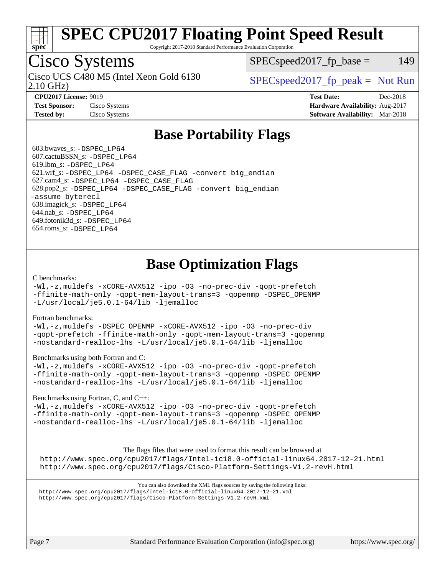

Copyright 2017-2018 Standard Performance Evaluation Corporation

### Cisco Systems

2.10 GHz) Cisco UCS C480 M5 (Intel Xeon Gold 6130  $SPEC speed2017<sub>fp</sub> peak = Not Run$ 

 $SPEC speed2017<sub>fp</sub> base = 149$ 

**[Tested by:](http://www.spec.org/auto/cpu2017/Docs/result-fields.html#Testedby)** Cisco Systems **[Software Availability:](http://www.spec.org/auto/cpu2017/Docs/result-fields.html#SoftwareAvailability)** Mar-2018

**[CPU2017 License:](http://www.spec.org/auto/cpu2017/Docs/result-fields.html#CPU2017License)** 9019 **[Test Date:](http://www.spec.org/auto/cpu2017/Docs/result-fields.html#TestDate)** Dec-2018 **[Test Sponsor:](http://www.spec.org/auto/cpu2017/Docs/result-fields.html#TestSponsor)** Cisco Systems **[Hardware Availability:](http://www.spec.org/auto/cpu2017/Docs/result-fields.html#HardwareAvailability)** Aug-2017

### **[Base Portability Flags](http://www.spec.org/auto/cpu2017/Docs/result-fields.html#BasePortabilityFlags)**

 603.bwaves\_s: [-DSPEC\\_LP64](http://www.spec.org/cpu2017/results/res2018q4/cpu2017-20181211-10291.flags.html#suite_basePORTABILITY603_bwaves_s_DSPEC_LP64) 607.cactuBSSN\_s: [-DSPEC\\_LP64](http://www.spec.org/cpu2017/results/res2018q4/cpu2017-20181211-10291.flags.html#suite_basePORTABILITY607_cactuBSSN_s_DSPEC_LP64) 619.lbm\_s: [-DSPEC\\_LP64](http://www.spec.org/cpu2017/results/res2018q4/cpu2017-20181211-10291.flags.html#suite_basePORTABILITY619_lbm_s_DSPEC_LP64) 621.wrf\_s: [-DSPEC\\_LP64](http://www.spec.org/cpu2017/results/res2018q4/cpu2017-20181211-10291.flags.html#suite_basePORTABILITY621_wrf_s_DSPEC_LP64) [-DSPEC\\_CASE\\_FLAG](http://www.spec.org/cpu2017/results/res2018q4/cpu2017-20181211-10291.flags.html#b621.wrf_s_baseCPORTABILITY_DSPEC_CASE_FLAG) [-convert big\\_endian](http://www.spec.org/cpu2017/results/res2018q4/cpu2017-20181211-10291.flags.html#user_baseFPORTABILITY621_wrf_s_convert_big_endian_c3194028bc08c63ac5d04de18c48ce6d347e4e562e8892b8bdbdc0214820426deb8554edfa529a3fb25a586e65a3d812c835984020483e7e73212c4d31a38223) 627.cam4\_s: [-DSPEC\\_LP64](http://www.spec.org/cpu2017/results/res2018q4/cpu2017-20181211-10291.flags.html#suite_basePORTABILITY627_cam4_s_DSPEC_LP64) [-DSPEC\\_CASE\\_FLAG](http://www.spec.org/cpu2017/results/res2018q4/cpu2017-20181211-10291.flags.html#b627.cam4_s_baseCPORTABILITY_DSPEC_CASE_FLAG) 628.pop2\_s: [-DSPEC\\_LP64](http://www.spec.org/cpu2017/results/res2018q4/cpu2017-20181211-10291.flags.html#suite_basePORTABILITY628_pop2_s_DSPEC_LP64) [-DSPEC\\_CASE\\_FLAG](http://www.spec.org/cpu2017/results/res2018q4/cpu2017-20181211-10291.flags.html#b628.pop2_s_baseCPORTABILITY_DSPEC_CASE_FLAG) [-convert big\\_endian](http://www.spec.org/cpu2017/results/res2018q4/cpu2017-20181211-10291.flags.html#user_baseFPORTABILITY628_pop2_s_convert_big_endian_c3194028bc08c63ac5d04de18c48ce6d347e4e562e8892b8bdbdc0214820426deb8554edfa529a3fb25a586e65a3d812c835984020483e7e73212c4d31a38223) [-assume byterecl](http://www.spec.org/cpu2017/results/res2018q4/cpu2017-20181211-10291.flags.html#user_baseFPORTABILITY628_pop2_s_assume_byterecl_7e47d18b9513cf18525430bbf0f2177aa9bf368bc7a059c09b2c06a34b53bd3447c950d3f8d6c70e3faf3a05c8557d66a5798b567902e8849adc142926523472) 638.imagick\_s: [-DSPEC\\_LP64](http://www.spec.org/cpu2017/results/res2018q4/cpu2017-20181211-10291.flags.html#suite_basePORTABILITY638_imagick_s_DSPEC_LP64) 644.nab\_s: [-DSPEC\\_LP64](http://www.spec.org/cpu2017/results/res2018q4/cpu2017-20181211-10291.flags.html#suite_basePORTABILITY644_nab_s_DSPEC_LP64) 649.fotonik3d\_s: [-DSPEC\\_LP64](http://www.spec.org/cpu2017/results/res2018q4/cpu2017-20181211-10291.flags.html#suite_basePORTABILITY649_fotonik3d_s_DSPEC_LP64) 654.roms\_s: [-DSPEC\\_LP64](http://www.spec.org/cpu2017/results/res2018q4/cpu2017-20181211-10291.flags.html#suite_basePORTABILITY654_roms_s_DSPEC_LP64)

### **[Base Optimization Flags](http://www.spec.org/auto/cpu2017/Docs/result-fields.html#BaseOptimizationFlags)**

#### [C benchmarks](http://www.spec.org/auto/cpu2017/Docs/result-fields.html#Cbenchmarks):

[-Wl,-z,muldefs](http://www.spec.org/cpu2017/results/res2018q4/cpu2017-20181211-10291.flags.html#user_CCbase_link_force_multiple1_b4cbdb97b34bdee9ceefcfe54f4c8ea74255f0b02a4b23e853cdb0e18eb4525ac79b5a88067c842dd0ee6996c24547a27a4b99331201badda8798ef8a743f577) [-xCORE-AVX512](http://www.spec.org/cpu2017/results/res2018q4/cpu2017-20181211-10291.flags.html#user_CCbase_f-xCORE-AVX512) [-ipo](http://www.spec.org/cpu2017/results/res2018q4/cpu2017-20181211-10291.flags.html#user_CCbase_f-ipo) [-O3](http://www.spec.org/cpu2017/results/res2018q4/cpu2017-20181211-10291.flags.html#user_CCbase_f-O3) [-no-prec-div](http://www.spec.org/cpu2017/results/res2018q4/cpu2017-20181211-10291.flags.html#user_CCbase_f-no-prec-div) [-qopt-prefetch](http://www.spec.org/cpu2017/results/res2018q4/cpu2017-20181211-10291.flags.html#user_CCbase_f-qopt-prefetch) [-ffinite-math-only](http://www.spec.org/cpu2017/results/res2018q4/cpu2017-20181211-10291.flags.html#user_CCbase_f_finite_math_only_cb91587bd2077682c4b38af759c288ed7c732db004271a9512da14a4f8007909a5f1427ecbf1a0fb78ff2a814402c6114ac565ca162485bbcae155b5e4258871) [-qopt-mem-layout-trans=3](http://www.spec.org/cpu2017/results/res2018q4/cpu2017-20181211-10291.flags.html#user_CCbase_f-qopt-mem-layout-trans_de80db37974c74b1f0e20d883f0b675c88c3b01e9d123adea9b28688d64333345fb62bc4a798493513fdb68f60282f9a726aa07f478b2f7113531aecce732043) [-qopenmp](http://www.spec.org/cpu2017/results/res2018q4/cpu2017-20181211-10291.flags.html#user_CCbase_qopenmp_16be0c44f24f464004c6784a7acb94aca937f053568ce72f94b139a11c7c168634a55f6653758ddd83bcf7b8463e8028bb0b48b77bcddc6b78d5d95bb1df2967) [-DSPEC\\_OPENMP](http://www.spec.org/cpu2017/results/res2018q4/cpu2017-20181211-10291.flags.html#suite_CCbase_DSPEC_OPENMP) [-L/usr/local/je5.0.1-64/lib](http://www.spec.org/cpu2017/results/res2018q4/cpu2017-20181211-10291.flags.html#user_CCbase_jemalloc_link_path64_4b10a636b7bce113509b17f3bd0d6226c5fb2346b9178c2d0232c14f04ab830f976640479e5c33dc2bcbbdad86ecfb6634cbbd4418746f06f368b512fced5394) [-ljemalloc](http://www.spec.org/cpu2017/results/res2018q4/cpu2017-20181211-10291.flags.html#user_CCbase_jemalloc_link_lib_d1249b907c500fa1c0672f44f562e3d0f79738ae9e3c4a9c376d49f265a04b9c99b167ecedbf6711b3085be911c67ff61f150a17b3472be731631ba4d0471706)

#### [Fortran benchmarks](http://www.spec.org/auto/cpu2017/Docs/result-fields.html#Fortranbenchmarks):

[-Wl,-z,muldefs](http://www.spec.org/cpu2017/results/res2018q4/cpu2017-20181211-10291.flags.html#user_FCbase_link_force_multiple1_b4cbdb97b34bdee9ceefcfe54f4c8ea74255f0b02a4b23e853cdb0e18eb4525ac79b5a88067c842dd0ee6996c24547a27a4b99331201badda8798ef8a743f577) [-DSPEC\\_OPENMP](http://www.spec.org/cpu2017/results/res2018q4/cpu2017-20181211-10291.flags.html#suite_FCbase_DSPEC_OPENMP) [-xCORE-AVX512](http://www.spec.org/cpu2017/results/res2018q4/cpu2017-20181211-10291.flags.html#user_FCbase_f-xCORE-AVX512) [-ipo](http://www.spec.org/cpu2017/results/res2018q4/cpu2017-20181211-10291.flags.html#user_FCbase_f-ipo) [-O3](http://www.spec.org/cpu2017/results/res2018q4/cpu2017-20181211-10291.flags.html#user_FCbase_f-O3) [-no-prec-div](http://www.spec.org/cpu2017/results/res2018q4/cpu2017-20181211-10291.flags.html#user_FCbase_f-no-prec-div) [-qopt-prefetch](http://www.spec.org/cpu2017/results/res2018q4/cpu2017-20181211-10291.flags.html#user_FCbase_f-qopt-prefetch) [-ffinite-math-only](http://www.spec.org/cpu2017/results/res2018q4/cpu2017-20181211-10291.flags.html#user_FCbase_f_finite_math_only_cb91587bd2077682c4b38af759c288ed7c732db004271a9512da14a4f8007909a5f1427ecbf1a0fb78ff2a814402c6114ac565ca162485bbcae155b5e4258871) [-qopt-mem-layout-trans=3](http://www.spec.org/cpu2017/results/res2018q4/cpu2017-20181211-10291.flags.html#user_FCbase_f-qopt-mem-layout-trans_de80db37974c74b1f0e20d883f0b675c88c3b01e9d123adea9b28688d64333345fb62bc4a798493513fdb68f60282f9a726aa07f478b2f7113531aecce732043) [-qopenmp](http://www.spec.org/cpu2017/results/res2018q4/cpu2017-20181211-10291.flags.html#user_FCbase_qopenmp_16be0c44f24f464004c6784a7acb94aca937f053568ce72f94b139a11c7c168634a55f6653758ddd83bcf7b8463e8028bb0b48b77bcddc6b78d5d95bb1df2967) [-nostandard-realloc-lhs](http://www.spec.org/cpu2017/results/res2018q4/cpu2017-20181211-10291.flags.html#user_FCbase_f_2003_std_realloc_82b4557e90729c0f113870c07e44d33d6f5a304b4f63d4c15d2d0f1fab99f5daaed73bdb9275d9ae411527f28b936061aa8b9c8f2d63842963b95c9dd6426b8a) [-L/usr/local/je5.0.1-64/lib](http://www.spec.org/cpu2017/results/res2018q4/cpu2017-20181211-10291.flags.html#user_FCbase_jemalloc_link_path64_4b10a636b7bce113509b17f3bd0d6226c5fb2346b9178c2d0232c14f04ab830f976640479e5c33dc2bcbbdad86ecfb6634cbbd4418746f06f368b512fced5394) [-ljemalloc](http://www.spec.org/cpu2017/results/res2018q4/cpu2017-20181211-10291.flags.html#user_FCbase_jemalloc_link_lib_d1249b907c500fa1c0672f44f562e3d0f79738ae9e3c4a9c376d49f265a04b9c99b167ecedbf6711b3085be911c67ff61f150a17b3472be731631ba4d0471706)

#### [Benchmarks using both Fortran and C](http://www.spec.org/auto/cpu2017/Docs/result-fields.html#BenchmarksusingbothFortranandC):

[-Wl,-z,muldefs](http://www.spec.org/cpu2017/results/res2018q4/cpu2017-20181211-10291.flags.html#user_CC_FCbase_link_force_multiple1_b4cbdb97b34bdee9ceefcfe54f4c8ea74255f0b02a4b23e853cdb0e18eb4525ac79b5a88067c842dd0ee6996c24547a27a4b99331201badda8798ef8a743f577) [-xCORE-AVX512](http://www.spec.org/cpu2017/results/res2018q4/cpu2017-20181211-10291.flags.html#user_CC_FCbase_f-xCORE-AVX512) [-ipo](http://www.spec.org/cpu2017/results/res2018q4/cpu2017-20181211-10291.flags.html#user_CC_FCbase_f-ipo) [-O3](http://www.spec.org/cpu2017/results/res2018q4/cpu2017-20181211-10291.flags.html#user_CC_FCbase_f-O3) [-no-prec-div](http://www.spec.org/cpu2017/results/res2018q4/cpu2017-20181211-10291.flags.html#user_CC_FCbase_f-no-prec-div) [-qopt-prefetch](http://www.spec.org/cpu2017/results/res2018q4/cpu2017-20181211-10291.flags.html#user_CC_FCbase_f-qopt-prefetch) [-ffinite-math-only](http://www.spec.org/cpu2017/results/res2018q4/cpu2017-20181211-10291.flags.html#user_CC_FCbase_f_finite_math_only_cb91587bd2077682c4b38af759c288ed7c732db004271a9512da14a4f8007909a5f1427ecbf1a0fb78ff2a814402c6114ac565ca162485bbcae155b5e4258871) [-qopt-mem-layout-trans=3](http://www.spec.org/cpu2017/results/res2018q4/cpu2017-20181211-10291.flags.html#user_CC_FCbase_f-qopt-mem-layout-trans_de80db37974c74b1f0e20d883f0b675c88c3b01e9d123adea9b28688d64333345fb62bc4a798493513fdb68f60282f9a726aa07f478b2f7113531aecce732043) [-qopenmp](http://www.spec.org/cpu2017/results/res2018q4/cpu2017-20181211-10291.flags.html#user_CC_FCbase_qopenmp_16be0c44f24f464004c6784a7acb94aca937f053568ce72f94b139a11c7c168634a55f6653758ddd83bcf7b8463e8028bb0b48b77bcddc6b78d5d95bb1df2967) [-DSPEC\\_OPENMP](http://www.spec.org/cpu2017/results/res2018q4/cpu2017-20181211-10291.flags.html#suite_CC_FCbase_DSPEC_OPENMP) [-nostandard-realloc-lhs](http://www.spec.org/cpu2017/results/res2018q4/cpu2017-20181211-10291.flags.html#user_CC_FCbase_f_2003_std_realloc_82b4557e90729c0f113870c07e44d33d6f5a304b4f63d4c15d2d0f1fab99f5daaed73bdb9275d9ae411527f28b936061aa8b9c8f2d63842963b95c9dd6426b8a) [-L/usr/local/je5.0.1-64/lib](http://www.spec.org/cpu2017/results/res2018q4/cpu2017-20181211-10291.flags.html#user_CC_FCbase_jemalloc_link_path64_4b10a636b7bce113509b17f3bd0d6226c5fb2346b9178c2d0232c14f04ab830f976640479e5c33dc2bcbbdad86ecfb6634cbbd4418746f06f368b512fced5394) [-ljemalloc](http://www.spec.org/cpu2017/results/res2018q4/cpu2017-20181211-10291.flags.html#user_CC_FCbase_jemalloc_link_lib_d1249b907c500fa1c0672f44f562e3d0f79738ae9e3c4a9c376d49f265a04b9c99b167ecedbf6711b3085be911c67ff61f150a17b3472be731631ba4d0471706)

#### [Benchmarks using Fortran, C, and C++:](http://www.spec.org/auto/cpu2017/Docs/result-fields.html#BenchmarksusingFortranCandCXX)

[-Wl,-z,muldefs](http://www.spec.org/cpu2017/results/res2018q4/cpu2017-20181211-10291.flags.html#user_CC_CXX_FCbase_link_force_multiple1_b4cbdb97b34bdee9ceefcfe54f4c8ea74255f0b02a4b23e853cdb0e18eb4525ac79b5a88067c842dd0ee6996c24547a27a4b99331201badda8798ef8a743f577) [-xCORE-AVX512](http://www.spec.org/cpu2017/results/res2018q4/cpu2017-20181211-10291.flags.html#user_CC_CXX_FCbase_f-xCORE-AVX512) [-ipo](http://www.spec.org/cpu2017/results/res2018q4/cpu2017-20181211-10291.flags.html#user_CC_CXX_FCbase_f-ipo) [-O3](http://www.spec.org/cpu2017/results/res2018q4/cpu2017-20181211-10291.flags.html#user_CC_CXX_FCbase_f-O3) [-no-prec-div](http://www.spec.org/cpu2017/results/res2018q4/cpu2017-20181211-10291.flags.html#user_CC_CXX_FCbase_f-no-prec-div) [-qopt-prefetch](http://www.spec.org/cpu2017/results/res2018q4/cpu2017-20181211-10291.flags.html#user_CC_CXX_FCbase_f-qopt-prefetch) [-ffinite-math-only](http://www.spec.org/cpu2017/results/res2018q4/cpu2017-20181211-10291.flags.html#user_CC_CXX_FCbase_f_finite_math_only_cb91587bd2077682c4b38af759c288ed7c732db004271a9512da14a4f8007909a5f1427ecbf1a0fb78ff2a814402c6114ac565ca162485bbcae155b5e4258871) [-qopt-mem-layout-trans=3](http://www.spec.org/cpu2017/results/res2018q4/cpu2017-20181211-10291.flags.html#user_CC_CXX_FCbase_f-qopt-mem-layout-trans_de80db37974c74b1f0e20d883f0b675c88c3b01e9d123adea9b28688d64333345fb62bc4a798493513fdb68f60282f9a726aa07f478b2f7113531aecce732043) [-qopenmp](http://www.spec.org/cpu2017/results/res2018q4/cpu2017-20181211-10291.flags.html#user_CC_CXX_FCbase_qopenmp_16be0c44f24f464004c6784a7acb94aca937f053568ce72f94b139a11c7c168634a55f6653758ddd83bcf7b8463e8028bb0b48b77bcddc6b78d5d95bb1df2967) [-DSPEC\\_OPENMP](http://www.spec.org/cpu2017/results/res2018q4/cpu2017-20181211-10291.flags.html#suite_CC_CXX_FCbase_DSPEC_OPENMP) [-nostandard-realloc-lhs](http://www.spec.org/cpu2017/results/res2018q4/cpu2017-20181211-10291.flags.html#user_CC_CXX_FCbase_f_2003_std_realloc_82b4557e90729c0f113870c07e44d33d6f5a304b4f63d4c15d2d0f1fab99f5daaed73bdb9275d9ae411527f28b936061aa8b9c8f2d63842963b95c9dd6426b8a) [-L/usr/local/je5.0.1-64/lib](http://www.spec.org/cpu2017/results/res2018q4/cpu2017-20181211-10291.flags.html#user_CC_CXX_FCbase_jemalloc_link_path64_4b10a636b7bce113509b17f3bd0d6226c5fb2346b9178c2d0232c14f04ab830f976640479e5c33dc2bcbbdad86ecfb6634cbbd4418746f06f368b512fced5394) [-ljemalloc](http://www.spec.org/cpu2017/results/res2018q4/cpu2017-20181211-10291.flags.html#user_CC_CXX_FCbase_jemalloc_link_lib_d1249b907c500fa1c0672f44f562e3d0f79738ae9e3c4a9c376d49f265a04b9c99b167ecedbf6711b3085be911c67ff61f150a17b3472be731631ba4d0471706)

The flags files that were used to format this result can be browsed at <http://www.spec.org/cpu2017/flags/Intel-ic18.0-official-linux64.2017-12-21.html> <http://www.spec.org/cpu2017/flags/Cisco-Platform-Settings-V1.2-revH.html>

You can also download the XML flags sources by saving the following links: <http://www.spec.org/cpu2017/flags/Intel-ic18.0-official-linux64.2017-12-21.xml> <http://www.spec.org/cpu2017/flags/Cisco-Platform-Settings-V1.2-revH.xml>